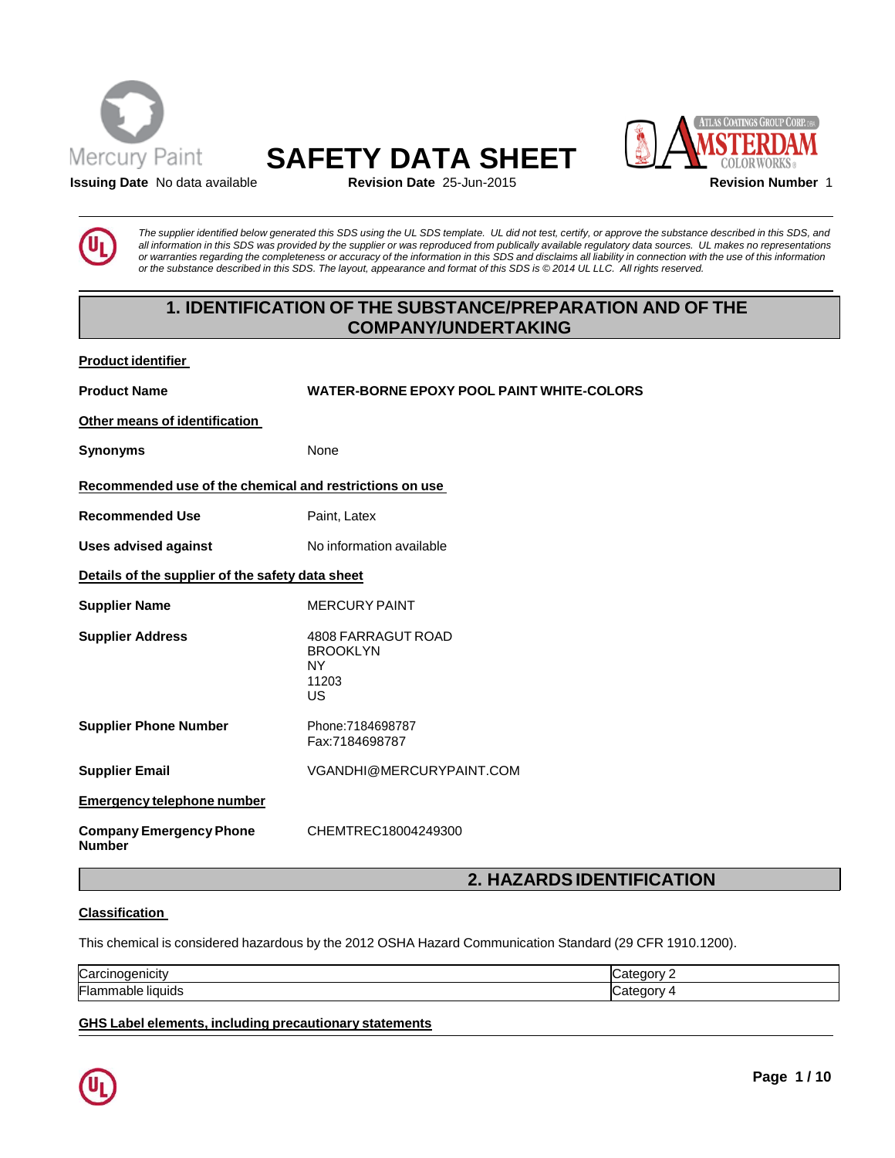

**Product identifier**





**Issuing Date** No data available **Revision Date** 25-Jun-2015 **Revision Number** 1

The supplier identified below generated this SDS using the UL SDS template. UL did not test, certify, or approve the substance described in this SDS, and all information in this SDS was provided by the supplier or was reproduced from publically available regulatory data sources. UL makes no representations or warranties regarding the completeness or accuracy of the information in this SDS and disclaims all liability in connection with the use of this information or the substance described in this SDS. The layout, appearance and format of this SDS is © 2014 UL LLC. All rights reserved.

# **1. IDENTIFICATION OF THE SUBSTANCE/PREPARATION AND OF THE COMPANY/UNDERTAKING**

| Product Identifier                                      |                                                            |  |
|---------------------------------------------------------|------------------------------------------------------------|--|
| <b>Product Name</b>                                     | <b>WATER-BORNE EPOXY POOL PAINT WHITE-COLORS</b>           |  |
| Other means of identification                           |                                                            |  |
| <b>Synonyms</b>                                         | None                                                       |  |
| Recommended use of the chemical and restrictions on use |                                                            |  |
| <b>Recommended Use</b>                                  | Paint, Latex                                               |  |
| <b>Uses advised against</b>                             | No information available                                   |  |
| Details of the supplier of the safety data sheet        |                                                            |  |
| <b>Supplier Name</b>                                    | <b>MERCURY PAINT</b>                                       |  |
| <b>Supplier Address</b>                                 | 4808 FARRAGUT ROAD<br><b>BROOKLYN</b><br>NY<br>11203<br>US |  |
| <b>Supplier Phone Number</b>                            | Phone: 7184698787<br>Fax:7184698787                        |  |
| <b>Supplier Email</b>                                   | VGANDHI@MERCURYPAINT.COM                                   |  |
| <b>Emergency telephone number</b>                       |                                                            |  |
| <b>Company Emergency Phone</b><br><b>Number</b>         | CHEMTREC18004249300                                        |  |
|                                                         | A ULAZARRAIRENTIEIAATIANI                                  |  |

# **2. HAZARDSIDENTIFICATION**

# **Classification**

This chemical is considered hazardous by the 2012 OSHA Hazard Communication Standard (29 CFR 1910.1200).

| Carcinogenicity                | . .<br>-----<br>. н н |
|--------------------------------|-----------------------|
| Flam<br>liauids<br>nabie<br>זו |                       |

**GHS Label elements, including precautionary statements**

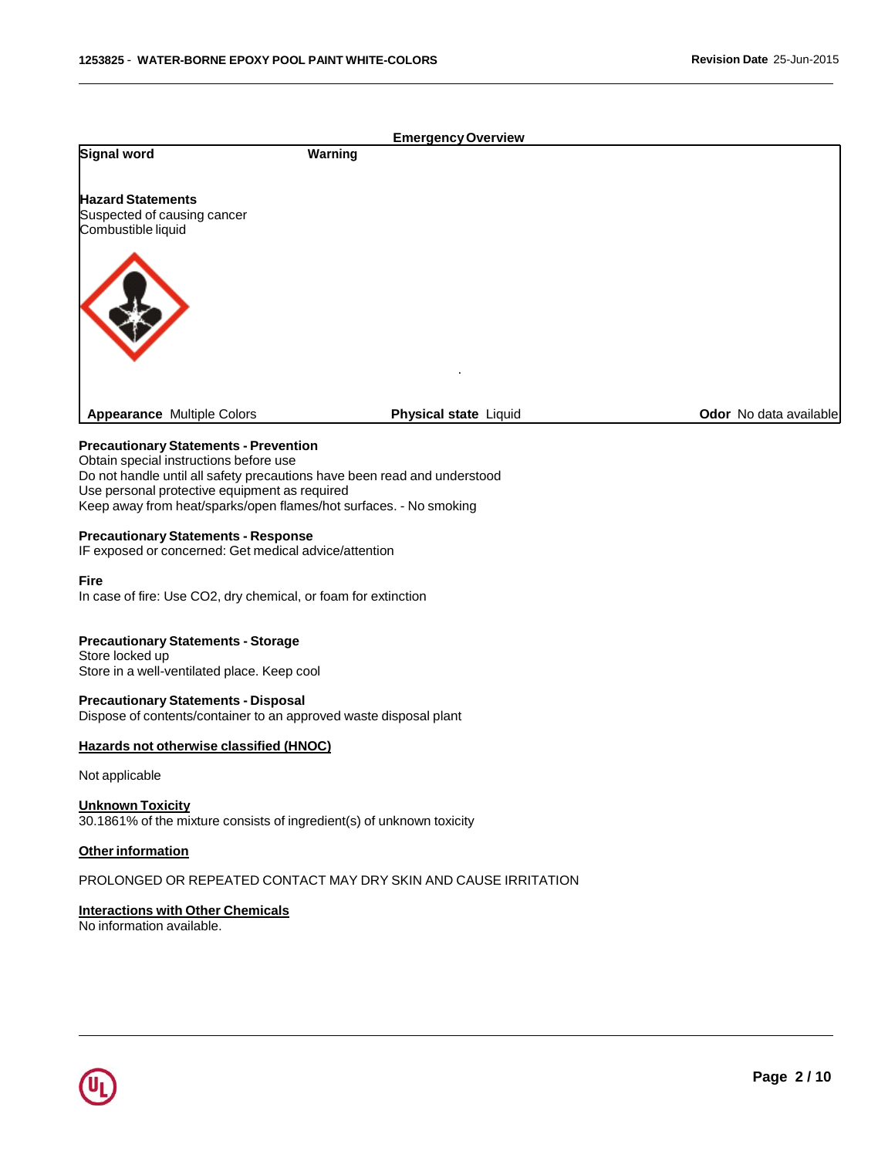|                                                                                                                                                                                                                                                                                          |         | <b>Emergency Overview</b> |                        |
|------------------------------------------------------------------------------------------------------------------------------------------------------------------------------------------------------------------------------------------------------------------------------------------|---------|---------------------------|------------------------|
| Signal word                                                                                                                                                                                                                                                                              | Warning |                           |                        |
| <b>Hazard Statements</b><br>Suspected of causing cancer<br>Combustible liquid                                                                                                                                                                                                            |         |                           |                        |
| <b>Appearance Multiple Colors</b>                                                                                                                                                                                                                                                        |         | Physical state Liquid     | Odor No data available |
| <b>Precautionary Statements - Prevention</b><br>Obtain special instructions before use<br>Do not handle until all safety precautions have been read and understood<br>Use personal protective equipment as required<br>Keep away from heat/sparks/open flames/hot surfaces. - No smoking |         |                           |                        |
| <b>Precautionary Statements - Response</b><br>IF exposed or concerned: Get medical advice/attention                                                                                                                                                                                      |         |                           |                        |
| Fire<br>In case of fire: Use CO2, dry chemical, or foam for extinction                                                                                                                                                                                                                   |         |                           |                        |
| <b>Precautionary Statements - Storage</b><br>Store locked up<br>Store in a well-ventilated place. Keep cool                                                                                                                                                                              |         |                           |                        |
| <b>Precautionary Statements - Disposal</b><br>Dispose of contents/container to an approved waste disposal plant                                                                                                                                                                          |         |                           |                        |
| Hazards not otherwise classified (HNOC)                                                                                                                                                                                                                                                  |         |                           |                        |
| Not applicable                                                                                                                                                                                                                                                                           |         |                           |                        |
| <b>Unknown Toxicity</b><br>30.1861% of the mixture consists of ingredient(s) of unknown toxicity                                                                                                                                                                                         |         |                           |                        |
| Other information                                                                                                                                                                                                                                                                        |         |                           |                        |
| PROLONGED OR REPEATED CONTACT MAY DRY SKIN AND CAUSE IRRITATION                                                                                                                                                                                                                          |         |                           |                        |
| <b>Interactions with Other Chemicals</b>                                                                                                                                                                                                                                                 |         |                           |                        |

No information available.

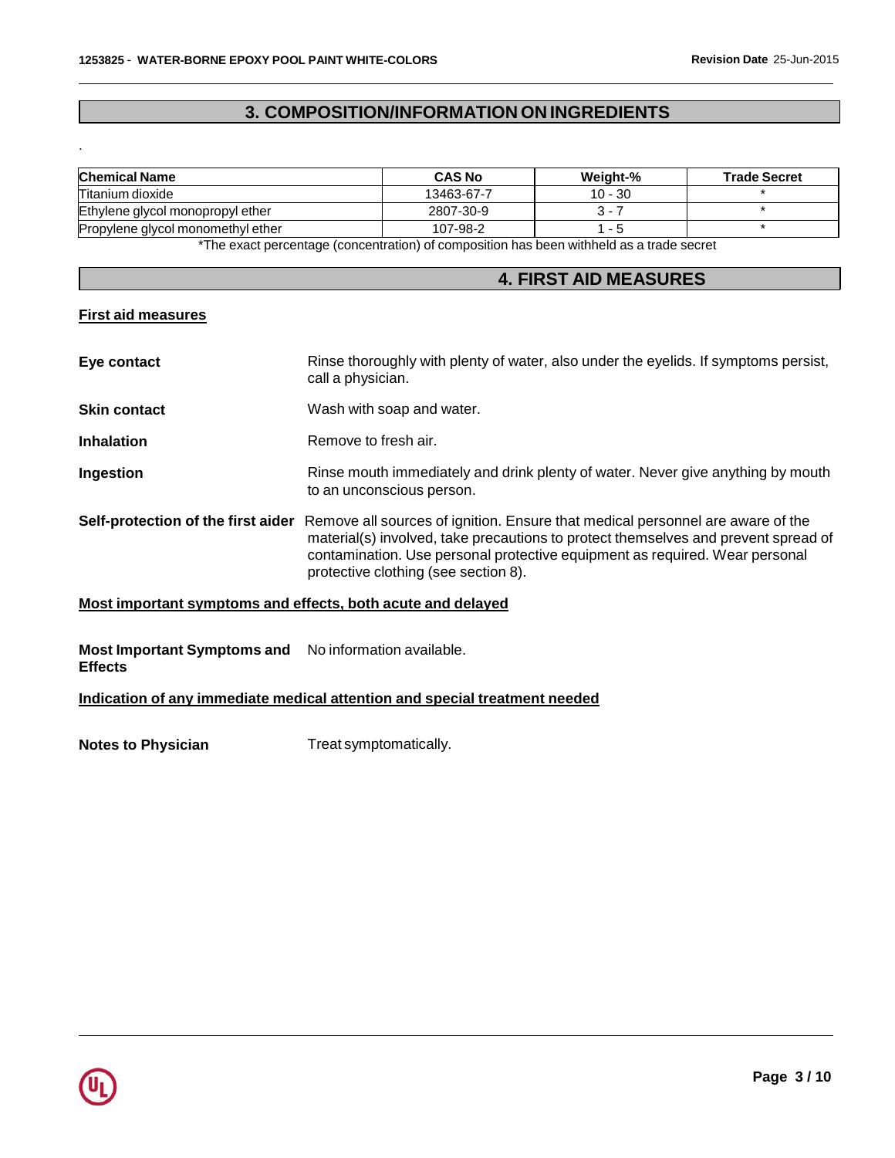# **3. COMPOSITION/INFORMATION ON INGREDIENTS**

| <b>Chemical Name</b>              | <b>CAS No</b> | Weight-%  | <b>Trade Secret</b> |
|-----------------------------------|---------------|-----------|---------------------|
| Titanium dioxide                  | 13463-67-7    | $10 - 30$ |                     |
| Ethylene glycol monopropyl ether  | 2807-30-9     | 3 - 7     |                     |
| Propylene glycol monomethyl ether | 107-98-2      | - 5       |                     |

The exact percentage (concentration) of composition has been withheld as a trade secret

# **4. FIRST AID MEASURES**

# **First aid measures**

.

| Eye contact                        | Rinse thoroughly with plenty of water, also under the eyelids. If symptoms persist,<br>call a physician.                                                                                                                                                                                    |
|------------------------------------|---------------------------------------------------------------------------------------------------------------------------------------------------------------------------------------------------------------------------------------------------------------------------------------------|
| <b>Skin contact</b>                | Wash with soap and water.                                                                                                                                                                                                                                                                   |
| <b>Inhalation</b>                  | Remove to fresh air.                                                                                                                                                                                                                                                                        |
| <b>Ingestion</b>                   | Rinse mouth immediately and drink plenty of water. Never give anything by mouth<br>to an unconscious person.                                                                                                                                                                                |
| Self-protection of the first aider | Remove all sources of ignition. Ensure that medical personnel are aware of the<br>material(s) involved, take precautions to protect themselves and prevent spread of<br>contamination. Use personal protective equipment as required. Wear personal<br>protective clothing (see section 8). |

# **Most important symptoms and effects, both acute and delayed**

# **Most Important Symptoms and** No information available. **Effects**

## **Indication of any immediate medical attention and special treatment needed**

**Notes to Physician** Treat symptomatically.

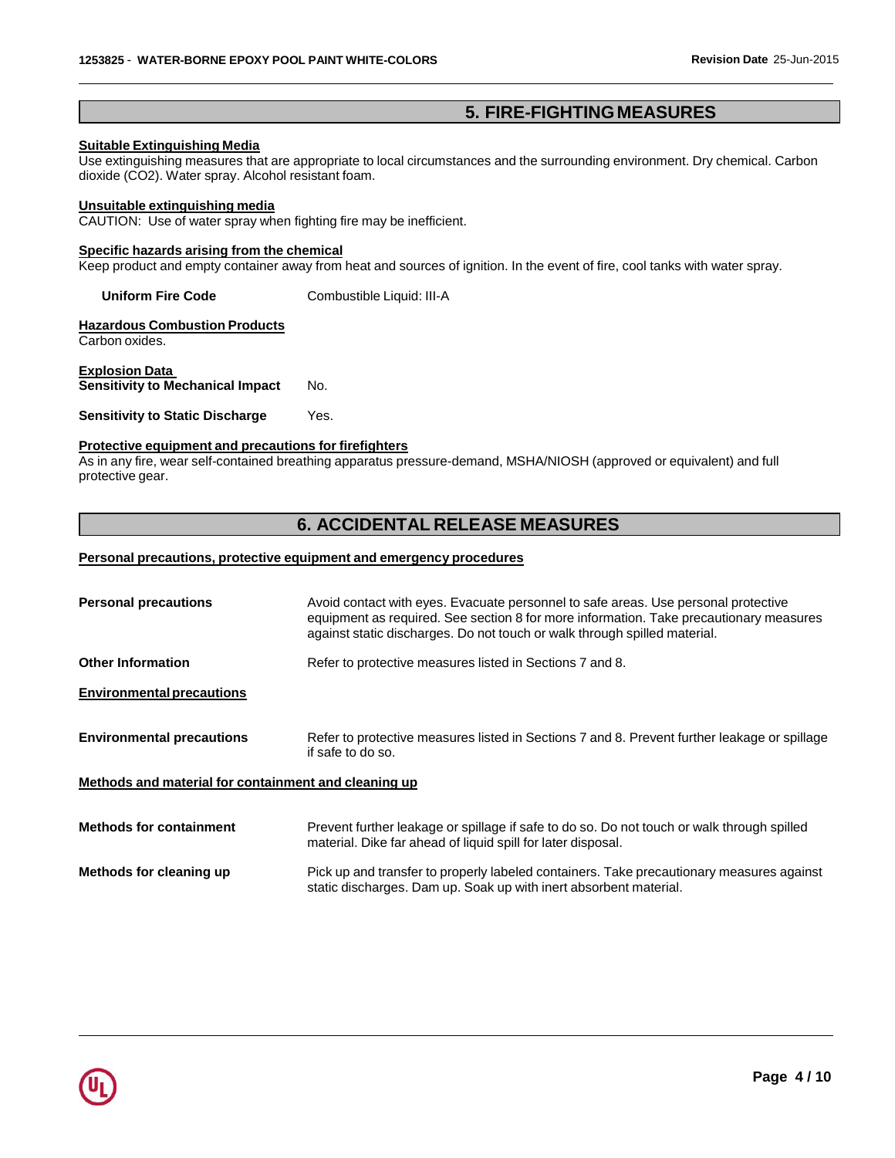# **5. FIRE-FIGHTING MEASURES**

## **Suitable Extinguishing Media**

Use extinguishing measures that are appropriate to local circumstances and the surrounding environment. Dry chemical. Carbon dioxide (CO2). Water spray. Alcohol resistant foam.

#### **Unsuitable extinguishing media**

CAUTION: Use of water spray when fighting fire may be inefficient.

## **Specific hazards arising from the chemical**

Keep product and empty container away from heat and sources of ignition. In the event of fire, cool tanks with water spray.

**Uniform Fire Code** Combustible Liquid: III-A

**Hazardous Combustion Products** Carbon oxides.

**Explosion Data Sensitivity to Mechanical Impact** No.

#### **Sensitivity to Static Discharge** Yes.

### **Protective equipment and precautions for firefighters**

As in any fire, wear self-contained breathing apparatus pressure-demand, MSHA/NIOSH (approved or equivalent) and full protective gear.

# **6. ACCIDENTAL RELEASE MEASURES**

#### **Personal precautions, protective equipment and emergency procedures**

| <b>Personal precautions</b>                          | Avoid contact with eyes. Evacuate personnel to safe areas. Use personal protective<br>equipment as required. See section 8 for more information. Take precautionary measures<br>against static discharges. Do not touch or walk through spilled material. |
|------------------------------------------------------|-----------------------------------------------------------------------------------------------------------------------------------------------------------------------------------------------------------------------------------------------------------|
| <b>Other Information</b>                             | Refer to protective measures listed in Sections 7 and 8.                                                                                                                                                                                                  |
| <b>Environmental precautions</b>                     |                                                                                                                                                                                                                                                           |
| <b>Environmental precautions</b>                     | Refer to protective measures listed in Sections 7 and 8. Prevent further leakage or spillage<br>if safe to do so.                                                                                                                                         |
| Methods and material for containment and cleaning up |                                                                                                                                                                                                                                                           |
| <b>Methods for containment</b>                       | Prevent further leakage or spillage if safe to do so. Do not touch or walk through spilled<br>material. Dike far ahead of liquid spill for later disposal.                                                                                                |
| Methods for cleaning up                              | Pick up and transfer to properly labeled containers. Take precautionary measures against<br>static discharges. Dam up. Soak up with inert absorbent material.                                                                                             |

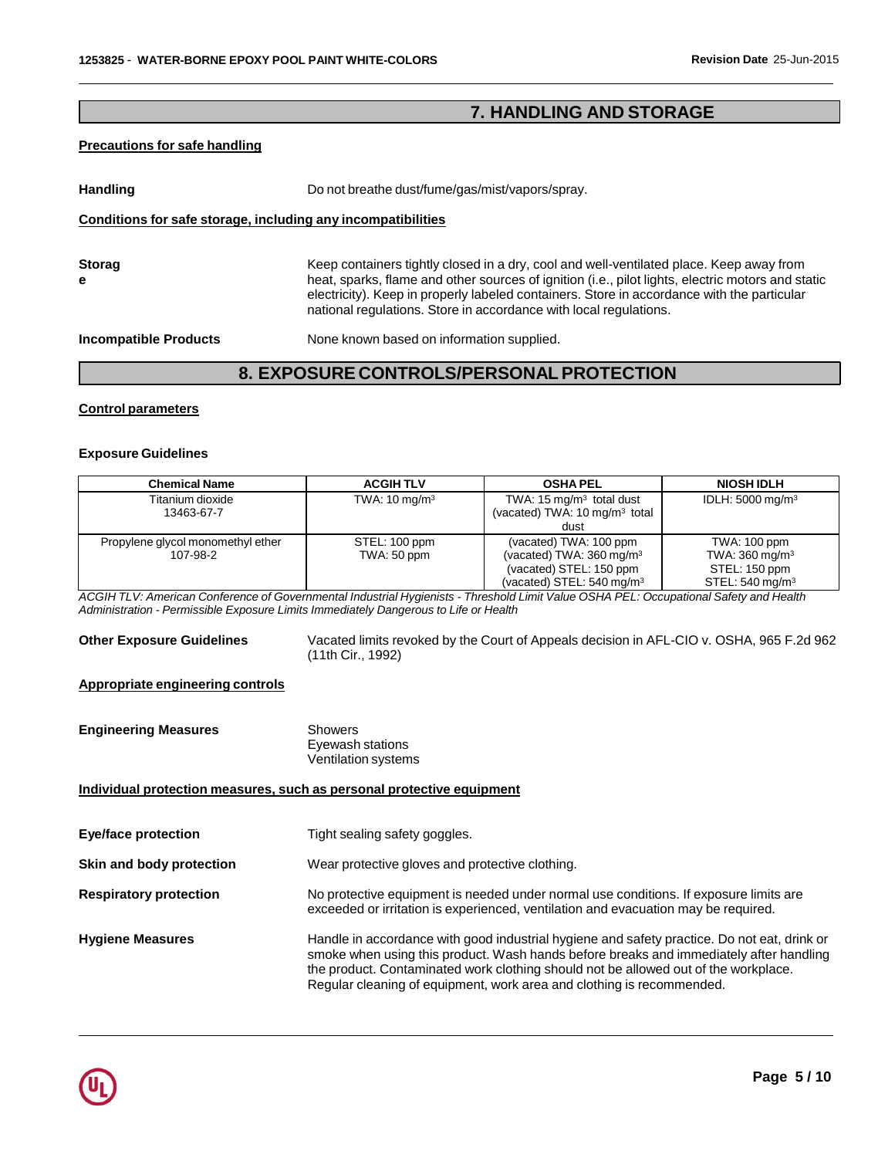# **7. HANDLING AND STORAGE**

## **Precautions for safe handling**

**Handling** Do not breathe dust/fume/gas/mist/vapors/spray.

### **Conditions for safe storage, including any incompatibilities**

| <b>Storag</b> | Keep containers tightly closed in a dry, cool and well-ventilated place. Keep away from                                                                                                                                                                              |
|---------------|----------------------------------------------------------------------------------------------------------------------------------------------------------------------------------------------------------------------------------------------------------------------|
| е             | heat, sparks, flame and other sources of ignition (i.e., pilot lights, electric motors and static<br>electricity). Keep in properly labeled containers. Store in accordance with the particular<br>national regulations. Store in accordance with local regulations. |

**Incompatible Products** None known based on information supplied.

# **8. EXPOSURE CONTROLS/PERSONALPROTECTION**

#### **Control parameters**

#### **Exposure Guidelines**

| <b>Chemical Name</b>                          | <b>ACGIH TLV</b>             | <b>OSHA PEL</b>                                                                                                                  | <b>NIOSH IDLH</b>                                                                                  |
|-----------------------------------------------|------------------------------|----------------------------------------------------------------------------------------------------------------------------------|----------------------------------------------------------------------------------------------------|
| Titanium dioxide<br>13463-67-7                | TWA: $10 \text{ mg/m}^3$     | TWA: $15 \text{ mg/m}^3$ total dust<br>(vacated) TWA: 10 mg/m <sup>3</sup> total<br>dust                                         | IDLH: 5000 mg/m <sup>3</sup>                                                                       |
| Propylene glycol monomethyl ether<br>107-98-2 | STEL: 100 ppm<br>TWA: 50 ppm | (vacated) TWA: 100 ppm<br>(vacated) TWA: $360 \text{ mg/m}^3$<br>(vacated) STEL: 150 ppm<br>(vacated) STEL: $540 \text{ mg/m}^3$ | <b>TWA: 100 ppm</b><br>TWA: $360 \text{ mg/m}^3$<br>STEL: 150 ppm<br>STEL: $540 \,\mathrm{mg/m^3}$ |

ACGIH TLV: American Conference of Governmental Industrial Hygienists - Threshold Limit Value OSHA PEL: Occupational Safety and Health *Administration - Permissible Exposure Limits Immediately Dangerous to Life or Health*

**Other Exposure Guidelines** Vacated limits revoked by the Court of Appeals decision in AFL-CIO v. OSHA, 965 F.2d 962 (11th Cir., 1992)

### **Appropriate engineering controls**

| <b>Engineering Measures</b> | Showers             |  |
|-----------------------------|---------------------|--|
|                             | Eyewash stations    |  |
|                             | Ventilation systems |  |

# **Individual protection measures, such as personal protective equipment**

| <b>Eye/face protection</b>    | Tight sealing safety goggles.                                                                                                                                                                                                                                                                                                                         |
|-------------------------------|-------------------------------------------------------------------------------------------------------------------------------------------------------------------------------------------------------------------------------------------------------------------------------------------------------------------------------------------------------|
| Skin and body protection      | Wear protective gloves and protective clothing.                                                                                                                                                                                                                                                                                                       |
| <b>Respiratory protection</b> | No protective equipment is needed under normal use conditions. If exposure limits are<br>exceeded or irritation is experienced, ventilation and evacuation may be required.                                                                                                                                                                           |
| <b>Hygiene Measures</b>       | Handle in accordance with good industrial hygiene and safety practice. Do not eat, drink or<br>smoke when using this product. Wash hands before breaks and immediately after handling<br>the product. Contaminated work clothing should not be allowed out of the workplace.<br>Regular cleaning of equipment, work area and clothing is recommended. |

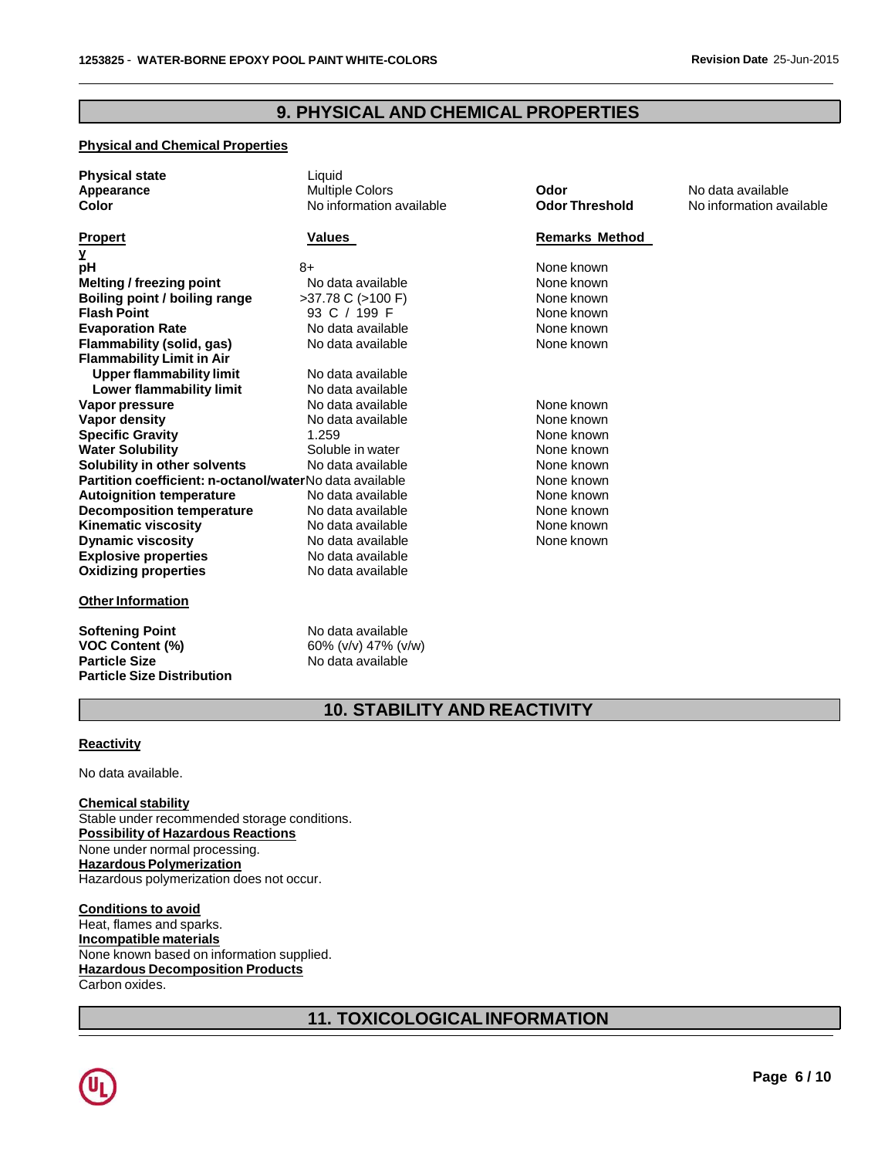# **9. PHYSICAL AND CHEMICAL PROPERTIES**

# **Physical and Chemical Properties**

| <b>Physical state</b><br>Appearance<br>Color            | Liquid<br><b>Multiple Colors</b><br>No information available | Odor<br><b>Odor Threshold</b> | No data available<br>No information available |
|---------------------------------------------------------|--------------------------------------------------------------|-------------------------------|-----------------------------------------------|
| <b>Propert</b>                                          | Values                                                       | <b>Remarks Method</b>         |                                               |
| y                                                       |                                                              |                               |                                               |
| рH                                                      | 8+                                                           | None known                    |                                               |
| Melting / freezing point                                | No data available                                            | None known                    |                                               |
| Boiling point / boiling range                           | >37.78 C (>100 F)                                            | None known                    |                                               |
| <b>Flash Point</b>                                      | 93 C / 199 F                                                 | None known                    |                                               |
| <b>Evaporation Rate</b>                                 | No data available                                            | None known                    |                                               |
| Flammability (solid, gas)                               | No data available                                            | None known                    |                                               |
| <b>Flammability Limit in Air</b>                        |                                                              |                               |                                               |
| <b>Upper flammability limit</b>                         | No data available                                            |                               |                                               |
| Lower flammability limit                                | No data available                                            |                               |                                               |
| Vapor pressure                                          | No data available                                            | None known                    |                                               |
| <b>Vapor density</b>                                    | No data available                                            | None known                    |                                               |
| <b>Specific Gravity</b>                                 | 1.259                                                        | None known                    |                                               |
| <b>Water Solubility</b>                                 | Soluble in water                                             | None known                    |                                               |
| Solubility in other solvents                            | No data available                                            | None known                    |                                               |
| Partition coefficient: n-octanol/waterNo data available |                                                              | None known                    |                                               |
| <b>Autoignition temperature</b>                         | No data available                                            | None known                    |                                               |
| <b>Decomposition temperature</b>                        | No data available                                            | None known                    |                                               |
| <b>Kinematic viscosity</b>                              | No data available                                            | None known                    |                                               |
| <b>Dynamic viscosity</b>                                | No data available                                            | None known                    |                                               |
| <b>Explosive properties</b>                             | No data available                                            |                               |                                               |
| <b>Oxidizing properties</b>                             | No data available                                            |                               |                                               |
| <b>Other Information</b>                                |                                                              |                               |                                               |
| <b>Softening Point</b>                                  | No data available                                            |                               |                                               |
| <b>VOC Content (%)</b>                                  | 60% (v/v) 47% (v/w)                                          |                               |                                               |

# **10. STABILITY AND REACTIVITY**

#### **Reactivity**

No data available.

**Particle Size Distribution**

# **Chemical stability**

Stable under recommended storage conditions. **Possibility of Hazardous Reactions** None under normal processing. **Hazardous Polymerization** Hazardous polymerization does not occur.

**VOC Content (%)** 60% (v/v) 47% (v/w)

**No data available** 

**Conditions to avoid** Heat, flames and sparks. **Incompatible materials** None known based on information supplied. **Hazardous Decomposition Products** Carbon oxides.

# **11. TOXICOLOGICALINFORMATION**

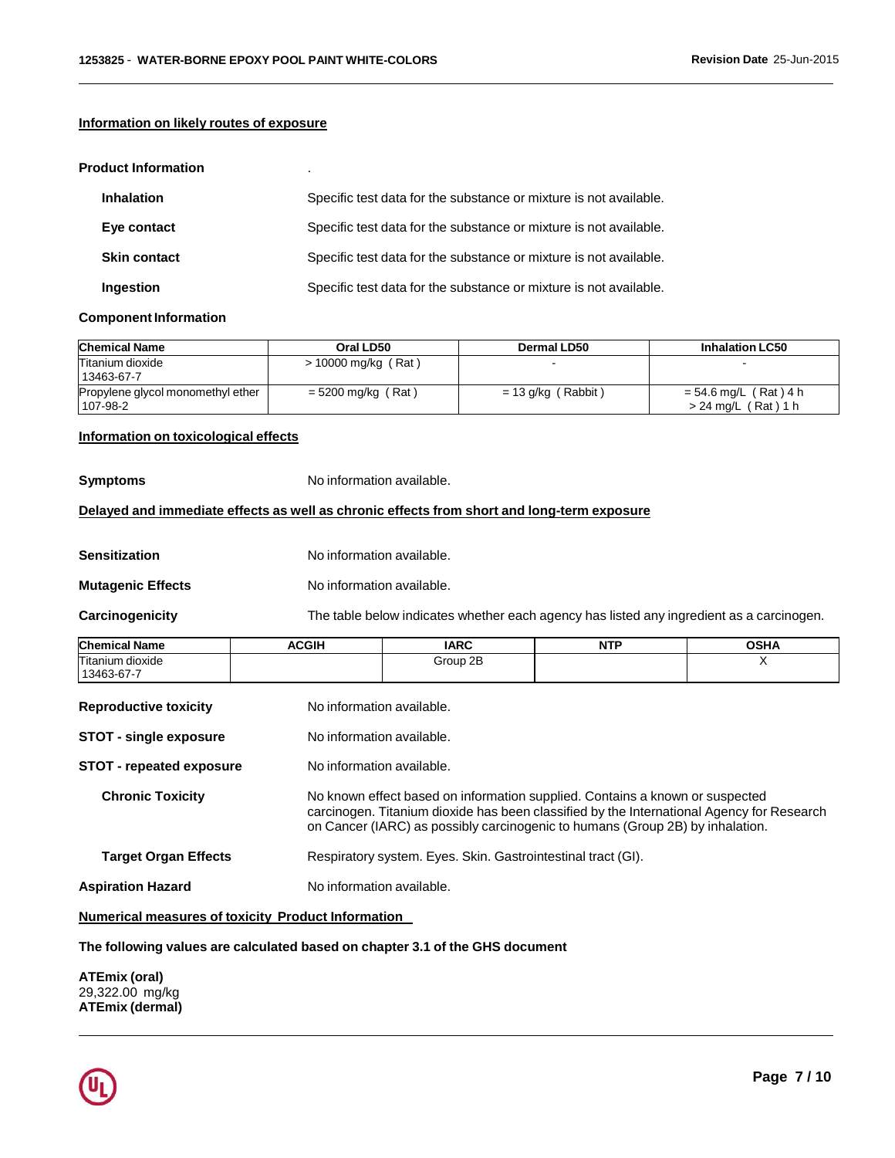### **Information on likely routes of exposure**

#### **Product Information** .

| <b>Inhalation</b>   | Specific test data for the substance or mixture is not available. |
|---------------------|-------------------------------------------------------------------|
| Eye contact         | Specific test data for the substance or mixture is not available. |
| <b>Skin contact</b> | Specific test data for the substance or mixture is not available. |
| Ingestion           | Specific test data for the substance or mixture is not available. |

#### **Component Information**

| <b>Chemical Name</b>                          | Oral LD50             | Dermal LD50          | <b>Inhalation LC50</b>                      |
|-----------------------------------------------|-----------------------|----------------------|---------------------------------------------|
| Titanium dioxide<br>13463-67-7                | $> 10000$ mg/kg (Rat) |                      |                                             |
| Propylene glycol monomethyl ether<br>107-98-2 | = 5200 mg/kg (Rat)    | $= 13$ g/kg (Rabbit) | = 54.6 mg/L (Rat)4 h<br>> 24 mg/L (Rat) 1 h |

## **Information on toxicological effects**

| Symptoms | No information available. |
|----------|---------------------------|
|----------|---------------------------|

## **Delayed and immediate effects as well as chronic effects from short and long-term exposure**

| <b>Sensitization</b> | No information available. |
|----------------------|---------------------------|
|----------------------|---------------------------|

**Mutagenic Effects** No information available.

**Carcinogenicity** The table below indicates whether each agency has listed any ingredient as a carcinogen.

| <b>Chemical Name</b> | <b>ACGIH</b> | <b>IARC</b> | <b>NTP</b> | <b>OSHA</b> |
|----------------------|--------------|-------------|------------|-------------|
| Titanium<br>dioxide  |              | Group 2B    |            |             |
| 13463-67-7           |              |             |            |             |

| <b>Reproductive toxicity</b>    | No information available.                                                                                                                                                                                                                                  |
|---------------------------------|------------------------------------------------------------------------------------------------------------------------------------------------------------------------------------------------------------------------------------------------------------|
| <b>STOT - single exposure</b>   | No information available.                                                                                                                                                                                                                                  |
| <b>STOT - repeated exposure</b> | No information available.                                                                                                                                                                                                                                  |
| <b>Chronic Toxicity</b>         | No known effect based on information supplied. Contains a known or suspected<br>carcinogen. Titanium dioxide has been classified by the International Agency for Research<br>on Cancer (IARC) as possibly carcinogenic to humans (Group 2B) by inhalation. |
| <b>Target Organ Effects</b>     | Respiratory system. Eyes. Skin. Gastrointestinal tract (GI).                                                                                                                                                                                               |
| <b>Aspiration Hazard</b>        | No information available.                                                                                                                                                                                                                                  |

**Numerical measures of toxicity Product Information**

**The following values are calculated based on chapter 3.1 of the GHS document**

**ATEmix (oral)** 29,322.00 mg/kg **ATEmix (dermal)**

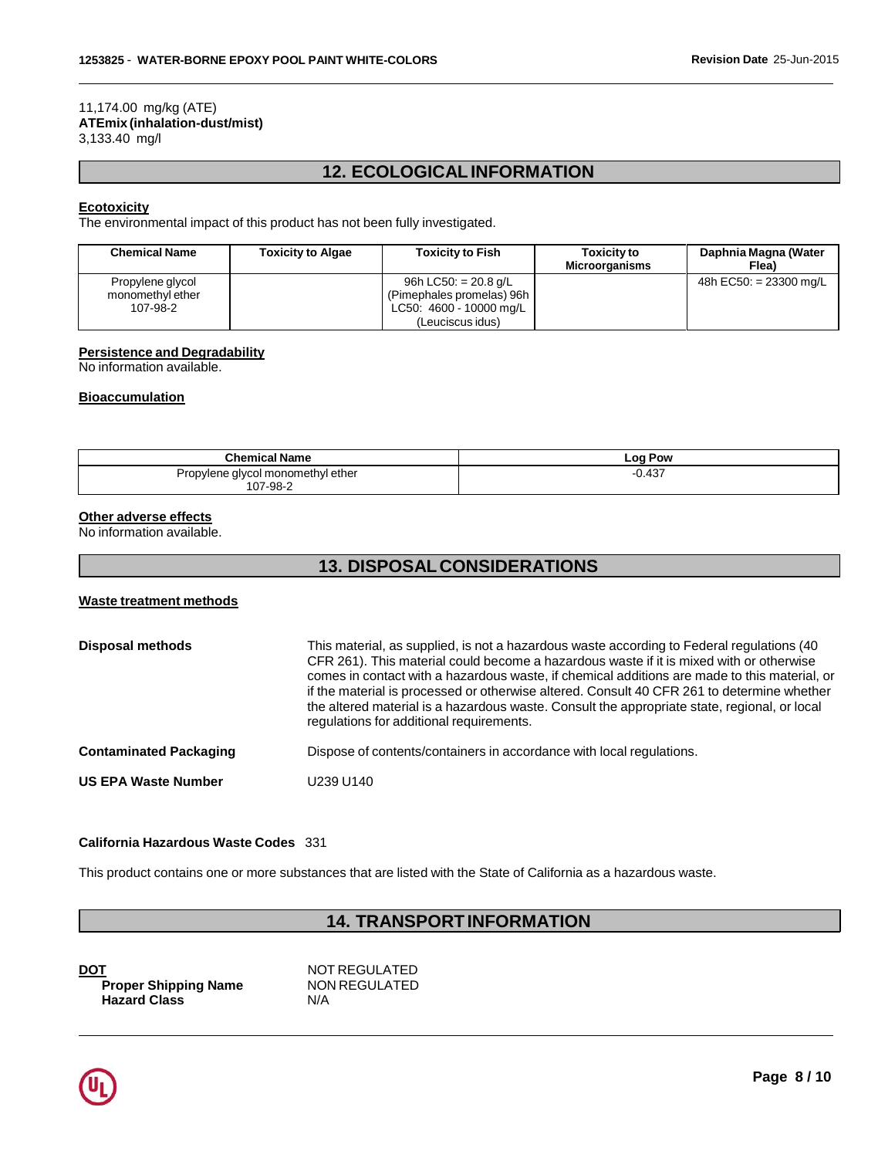#### 11,174.00 mg/kg (ATE) **ATEmix (inhalation-dust/mist)** 3,133.40 mg/l

# **12. ECOLOGICALINFORMATION**

## **Ecotoxicity**

The environmental impact of this product has not been fully investigated.

| <b>Chemical Name</b>                 | <b>Toxicity to Algae</b> | <b>Toxicity to Fish</b>                             | <b>Toxicity to</b><br><b>Microorganisms</b> | Daphnia Magna (Water<br>Flea) |
|--------------------------------------|--------------------------|-----------------------------------------------------|---------------------------------------------|-------------------------------|
| Propylene glycol<br>monomethyl ether |                          | 96h LC50: $= 20.8$ g/L<br>(Pimephales promelas) 96h |                                             | 48h EC50: $= 23300$ mg/L      |
| 107-98-2                             |                          | LC50: 4600 - 10000 mg/L<br>(Leuciscus idus)         |                                             |                               |

## **Persistence and Degradability**

No information available.

#### **Bioaccumulation**

| Log Pow |  |
|---------|--|
| 0.437   |  |
|         |  |

### **Other adverse effects**

No information available.

# **13. DISPOSALCONSIDERATIONS**

## **Waste treatment methods**

| <b>Disposal methods</b>       | This material, as supplied, is not a hazardous waste according to Federal regulations (40<br>CFR 261). This material could become a hazardous waste if it is mixed with or otherwise<br>comes in contact with a hazardous waste, if chemical additions are made to this material, or<br>if the material is processed or otherwise altered. Consult 40 CFR 261 to determine whether<br>the altered material is a hazardous waste. Consult the appropriate state, regional, or local<br>regulations for additional requirements. |
|-------------------------------|--------------------------------------------------------------------------------------------------------------------------------------------------------------------------------------------------------------------------------------------------------------------------------------------------------------------------------------------------------------------------------------------------------------------------------------------------------------------------------------------------------------------------------|
| <b>Contaminated Packaging</b> | Dispose of contents/containers in accordance with local regulations.                                                                                                                                                                                                                                                                                                                                                                                                                                                           |
| <b>US EPA Waste Number</b>    | U239 U140                                                                                                                                                                                                                                                                                                                                                                                                                                                                                                                      |

## **California Hazardous Waste Codes** 331

This product contains one or more substances that are listed with the State of California as a hazardous waste.

# **14. TRANSPORTINFORMATION**

| <b>DOT</b>                  | NOT REGULATED |
|-----------------------------|---------------|
| <b>Proper Shipping Name</b> | NON REGULATED |
| <b>Hazard Class</b>         | N/A           |

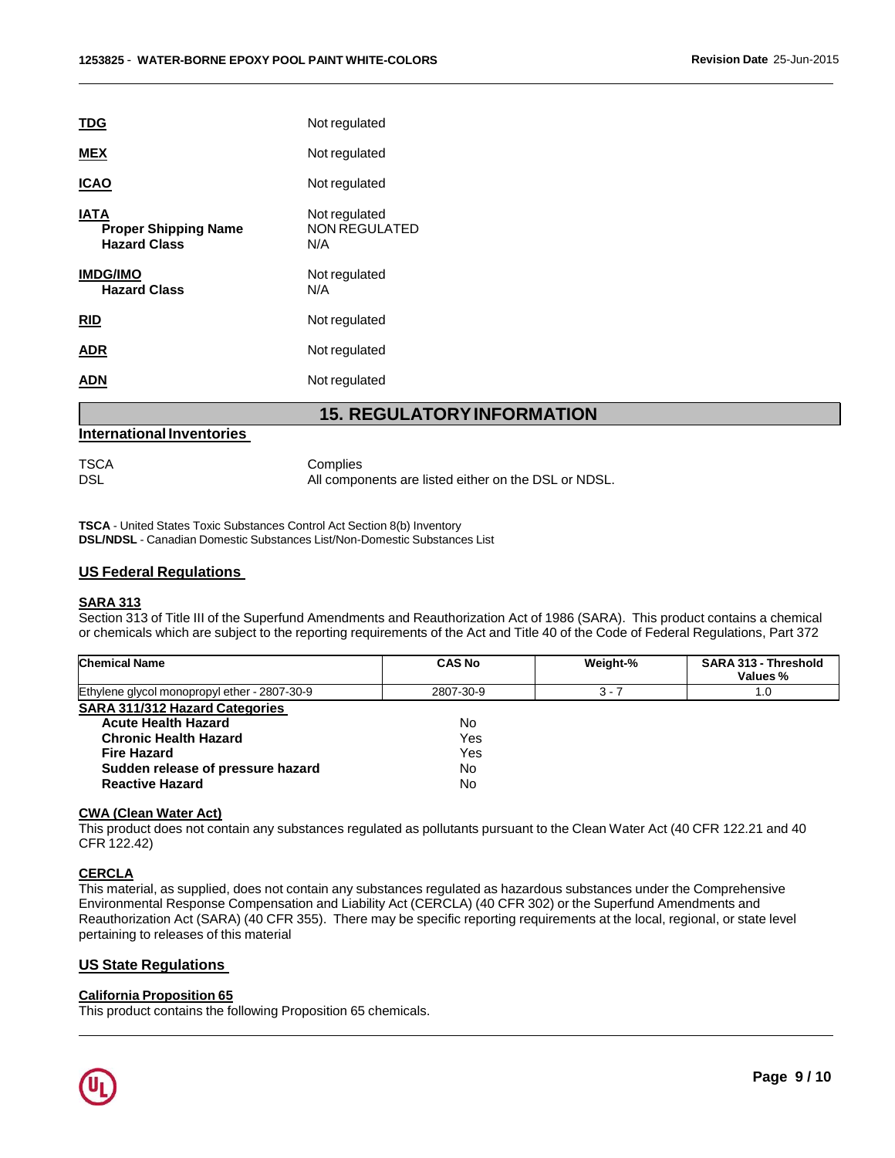| <b>TDG</b>                                                        | Not regulated                                |
|-------------------------------------------------------------------|----------------------------------------------|
| <b>MEX</b>                                                        | Not regulated                                |
| <b>ICAO</b>                                                       | Not regulated                                |
| <b>IATA</b><br><b>Proper Shipping Name</b><br><b>Hazard Class</b> | Not regulated<br><b>NON REGULATED</b><br>N/A |
| <b>IMDG/IMO</b><br><b>Hazard Class</b>                            | Not regulated<br>N/A                         |
|                                                                   |                                              |
| <b>RID</b>                                                        | Not regulated                                |
| ADR                                                               | Not regulated                                |
| ADN                                                               | Not regulated                                |

# **15. REGULATORYINFORMATION**

### **International Inventories**

TSCA Complies

DSL DSL All components are listed either on the DSL or NDSL.

**TSCA** - United States Toxic Substances Control Act Section 8(b) Inventory **DSL/NDSL** - Canadian Domestic Substances List/Non-Domestic Substances List

## **US Federal Regulations**

## **SARA 313**

Section 313 of Title III of the Superfund Amendments and Reauthorization Act of 1986 (SARA). This product contains a chemical or chemicals which are subject to the reporting requirements of the Act and Title 40 of the Code of Federal Regulations, Part 372

| Chemical Name                                | <b>CAS No</b> | Weight-% | SARA 313 - Threshold<br>Values % |
|----------------------------------------------|---------------|----------|----------------------------------|
| Ethylene glycol monopropyl ether - 2807-30-9 | 2807-30-9     | $3 - 7$  | .0                               |
| <b>SARA 311/312 Hazard Categories</b>        |               |          |                                  |
| <b>Acute Health Hazard</b>                   | No.           |          |                                  |
| <b>Chronic Health Hazard</b>                 | Yes           |          |                                  |
| <b>Fire Hazard</b>                           | Yes           |          |                                  |
| Sudden release of pressure hazard            | No.           |          |                                  |
| <b>Reactive Hazard</b>                       | No            |          |                                  |

#### **CWA (Clean Water Act)**

This product does not contain any substances regulated as pollutants pursuant to the Clean Water Act (40 CFR 122.21 and 40 CFR 122.42)

# **CERCLA**

This material, as supplied, does not contain any substances regulated as hazardous substances under the Comprehensive Environmental Response Compensation and Liability Act (CERCLA) (40 CFR 302) or the Superfund Amendments and Reauthorization Act (SARA) (40 CFR 355). There may be specific reporting requirements at the local, regional, or state level pertaining to releases of this material

# **US State Regulations**

#### **California Proposition 65**

This product contains the following Proposition 65 chemicals.